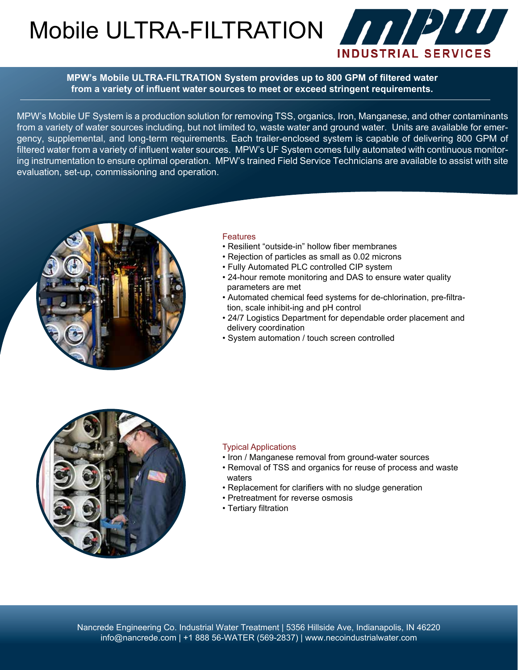Mobile ULTRA-FILTRATION 777777



**MPW's Mobile ULTRA-FILTRATION System provides up to 800 GPM of filtered water from a variety of influent water sources to meet or exceed stringent requirements.**

MPW's Mobile UF System is a production solution for removing TSS, organics, Iron, Manganese, and other contaminants from a variety of water sources including, but not limited to, waste water and ground water. Units are available for emergency, supplemental, and long-term requirements. Each trailer-enclosed system is capable of delivering 800 GPM of filtered water from a variety of influent water sources. MPW's UF System comes fully automated with continuous monitoring instrumentation to ensure optimal operation. MPW's trained Field Service Technicians are available to assist with site evaluation, set-up, commissioning and operation.



#### **Features**

- Resilient "outside-in" hollow fiber membranes
- Rejection of particles as small as 0.02 microns
- Fully Automated PLC controlled CIP system
- 24-hour remote monitoring and DAS to ensure water quality parameters are met
- Automated chemical feed systems for de-chlorination, pre-filtra tion, scale inhibit-ing and pH control
- 24/7 Logistics Department for dependable order placement and delivery coordination
- System automation / touch screen controlled



#### Typical Applications

- Iron / Manganese removal from ground-water sources
- Removal of TSS and organics for reuse of process and waste waters
- Replacement for clarifiers with no sludge generation
- Pretreatment for reverse osmosis
- Tertiary filtration